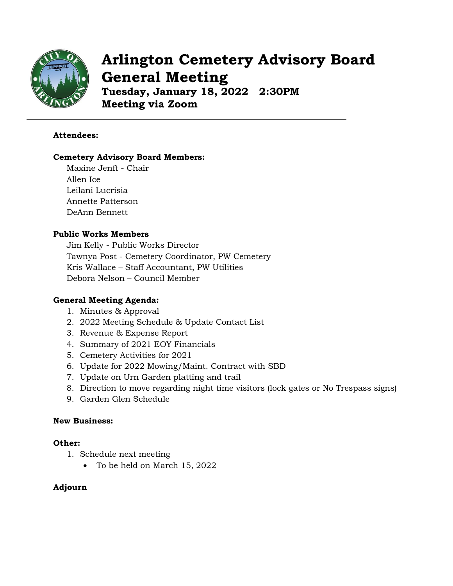

# **Arlington Cemetery Advisory Board General Meeting**

**Tuesday, January 18, 2022 2:30PM Meeting via Zoom**

#### **Attendees:**

#### **Cemetery Advisory Board Members:**

Maxine Jenft - Chair Allen Ice Leilani Lucrisia Annette Patterson DeAnn Bennett

# **Public Works Members**

Jim Kelly - Public Works Director Tawnya Post - Cemetery Coordinator, PW Cemetery Kris Wallace – Staff Accountant, PW Utilities Debora Nelson – Council Member

#### **General Meeting Agenda:**

- 1. Minutes & Approval
- 2. 2022 Meeting Schedule & Update Contact List
- 3. Revenue & Expense Report
- 4. Summary of 2021 EOY Financials
- 5. Cemetery Activities for 2021
- 6. Update for 2022 Mowing/Maint. Contract with SBD
- 7. Update on Urn Garden platting and trail
- 8. Direction to move regarding night time visitors (lock gates or No Trespass signs)
- 9. Garden Glen Schedule

#### **New Business:**

#### **Other:**

- 1. Schedule next meeting
	- To be held on March 15, 2022

#### **Adjourn**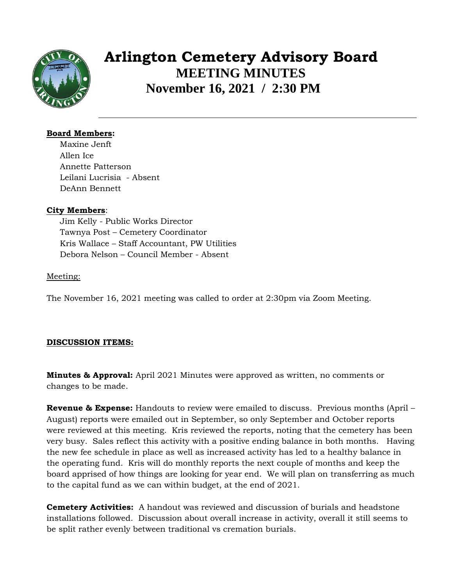

# **Arlington Cemetery Advisory Board MEETING MINUTES November 16, 2021 / 2:30 PM**

# **Board Members:**

Maxine Jenft Allen Ice Annette Patterson Leilani Lucrisia - Absent DeAnn Bennett

# **City Members**:

Jim Kelly - Public Works Director Tawnya Post – Cemetery Coordinator Kris Wallace – Staff Accountant, PW Utilities Debora Nelson – Council Member - Absent

#### Meeting:

The November 16, 2021 meeting was called to order at 2:30pm via Zoom Meeting.

# **DISCUSSION ITEMS:**

**Minutes & Approval:** April 2021 Minutes were approved as written, no comments or changes to be made.

**Revenue & Expense:** Handouts to review were emailed to discuss. Previous months (April – August) reports were emailed out in September, so only September and October reports were reviewed at this meeting. Kris reviewed the reports, noting that the cemetery has been very busy. Sales reflect this activity with a positive ending balance in both months. Having the new fee schedule in place as well as increased activity has led to a healthy balance in the operating fund. Kris will do monthly reports the next couple of months and keep the board apprised of how things are looking for year end. We will plan on transferring as much to the capital fund as we can within budget, at the end of 2021.

**Cemetery Activities:** A handout was reviewed and discussion of burials and headstone installations followed. Discussion about overall increase in activity, overall it still seems to be split rather evenly between traditional vs cremation burials.